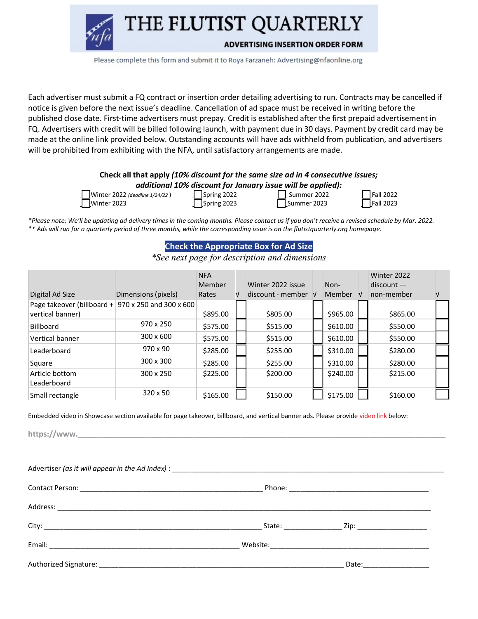THE FLUTIST QUARTERLY



**ADVERTISING INSERTION ORDER FORM** 

Please complete this form and submit it to Roya Farzaneh: Advertising@nfaonline.org

Each advertiser must submit a FQ contract or insertion order detailing advertising to run. Contracts may be cancelled if notice is given before the next issue's deadline. Cancellation of ad space must be received in writing before the published close date. First-time advertisers must prepay. Credit is established after the first prepaid advertisement in FQ. Advertisers with credit will be billed following launch, with payment due in 30 days. Payment by credit card may be made at the online link provided below. Outstanding accounts will have ads withheld from publication, and advertisers will be prohibited from exhibiting with the NFA, until satisfactory arrangements are made.

## **Check all that apply** *(10% discount for the same size ad in 4 consecutive issues; additional 10% discount for January issue will be applied):*

| Winter 2022 (deadline |  |  |
|-----------------------|--|--|
| Winter 2023           |  |  |

e 1/24/22) **Spring 2022 Deadling Summer 2022 Conserver Conserver** Summer 2022 **Spring 2023 Summer 2023 Summer 2023** 

|  | Fall 2022 |
|--|-----------|
|  | Fall 2023 |

*\*Please note: We'll be updating ad delivery times in the coming months. Please contact us if you don't receive a revised schedule by Mar. 2022. \*\* Ads will run for a quarterly period of three months, while the corresponding issue is on the flutistquarterly.org homepage.*

## **Check the Appropriate Box for Ad Size**

*\*See next page for description and dimensions*

|                                                                        |                     | <b>NFA</b><br>Member |   | Winter 2022 issue          | Non-     | Winter 2022<br>$discount -$ |   |
|------------------------------------------------------------------------|---------------------|----------------------|---|----------------------------|----------|-----------------------------|---|
| Digital Ad Size                                                        | Dimensions (pixels) | Rates                | V | $discount$ - member $\vee$ | Member V | non-member                  | V |
| Page takeover (billboard + 970 x 250 and 300 x 600<br>vertical banner) |                     | \$895.00             |   | \$805.00                   | \$965.00 | \$865.00                    |   |
| <b>Billboard</b>                                                       | 970 x 250           | \$575.00             |   | \$515.00                   | \$610.00 | \$550.00                    |   |
| Vertical banner                                                        | $300 \times 600$    | \$575.00             |   | \$515.00                   | \$610.00 | \$550.00                    |   |
| Leaderboard                                                            | $970 \times 90$     | \$285.00             |   | \$255.00                   | \$310.00 | \$280.00                    |   |
| Square                                                                 | 300 x 300           | \$285.00             |   | \$255.00                   | \$310.00 | \$280.00                    |   |
| Article bottom                                                         | 300 x 250           | \$225.00             |   | \$200.00                   | \$240.00 | \$215.00                    |   |
| Leaderboard                                                            |                     |                      |   |                            |          |                             |   |
| Small rectangle                                                        | $320 \times 50$     | \$165.00             |   | \$150.00                   | \$175.00 | \$160.00                    |   |

Embedded video in Showcase section available for page takeover, billboard, and vertical banner ads. Please provide video link below:

https://www.

|  | Date:___________________ |  |
|--|--------------------------|--|